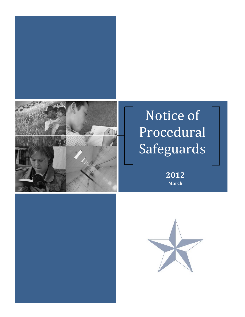

# Notice of Procedural Safeguards

**2012 March**



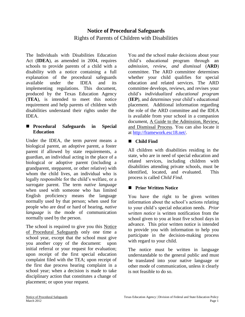## **Notice of Procedural Safeguards** Rights of Parents of Children with Disabilities

The Individuals with Disabilities Education Act (**IDEA**), as amended in 2004, requires schools to provide parents of a child with a disability with a notice containing a full explanation of the procedural safeguards available under the IDEA and its implementing regulations. This document, produced by the Texas Education Agency (**TEA**), is intended to meet this notice requirement and help parents of children with disabilities understand their rights under the IDEA.

#### **Procedural Safeguards in Special Education**

Under the IDEA, the term *parent* means a biological parent, an adoptive parent, a foster parent if allowed by state requirements, a guardian, an individual acting in the place of a biological or adoptive parent (including a grandparent, stepparent, or other relative) with whom the child lives, an individual who is legally responsible for the child's welfare, or a surrogate parent. The term *native language*  when used with someone who has limited English proficiency means the language normally used by that person; when used for people who are deaf or hard of hearing, *native language* is the mode of communication normally used by the person.

The school is required to give you this Notice of Procedural Safeguards only one time a school year, except that the school must give you another copy of the document: upon initial referral or your request for evaluation; upon receipt of the first special education complaint filed with the TEA; upon receipt of the first due process hearing complaint in a school year; when a decision is made to take disciplinary action that constitutes a change of placement; or upon your request.

You and the school make decisions about your child's educational program through an *admission, review, and dismissal* (**ARD**) committee. The ARD committee determines whether your child qualifies for special education and related services. The ARD committee develops, reviews, and revises your child's *individualized educational program*  (**IEP**), and determines your child's educational placement. Additional information regarding the role of the ARD committee and the IDEA is available from your school in a companion document, A Guide to the Admission, Review, and Dismissal Process. You can also locate it at [http://framework.esc18.net/.](http://framework.esc18.net/)

#### **Child Find**

All children with disabilities residing in the state, who are in need of special education and related services, including children with disabilities attending private schools, must be identified, located, and evaluated. This process is called *Child Find*.

### **Prior Written Notice**

You have the right to be given written information about the school's actions relating to your child's special education needs. *Prior written notice* is written notification from the school given to you at least five school days in advance. This prior written notice is intended to provide you with information to help you participate in the decision-making process with regard to your child.

The notice must be written in language understandable to the general public and must be translated into your native language or other mode of communication, unless it clearly is not feasible to do so.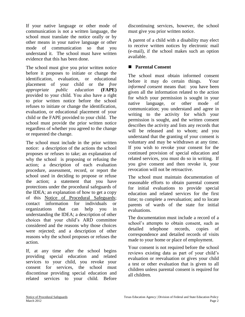If your native language or other mode of communication is not a written language, the school must translate the notice orally or by other means in your native language or other mode of communication so that you understand it. The school must have written evidence that this has been done.

The school must give you prior written notice before it proposes to initiate or change the identification, evaluation, or educational placement of your child or the *free appropriate public education* **(FAPE)**  provided to your child. You also have a right to prior written notice before the school refuses to initiate or change the identification, evaluation, or educational placement of your child or the FAPE provided to your child. The school must provide the prior written notice regardless of whether you agreed to the change or requested the change.

The school must include in the prior written notice: a description of the actions the school proposes or refuses to take; an explanation of why the school is proposing or refusing the action; a description of each evaluation procedure, assessment, record, or report the school used in deciding to propose or refuse the action; a statement that you have protections under the procedural safeguards of the IDEA; an explanation of how to get a copy of this Notice of Procedural Safeguards; contact information for individuals or organizations that can help you in understanding the IDEA; a description of other choices that your child's ARD committee considered and the reasons why those choices were rejected; and a description of other reasons why the school proposes or refuses the action.

If, at any time after the school begins providing special education and related services to your child, you revoke your consent for services, the school must discontinue providing special education and related services to your child. Before

discontinuing services, however, the school must give you prior written notice.

A parent of a child with a disability may elect to receive written notices by electronic mail (e-mail), if the school makes such an option available.

#### ■ Parental Consent

The school must obtain informed consent before it may do certain things. Your *informed consent* means that: you have been given all the information related to the action for which your permission is sought in your native language, or other mode of communication; you understand and agree in writing to the activity for which your permission is sought, and the written consent describes the activity and lists any records that will be released and to whom; and you understand that the granting of your consent is voluntary and may be withdrawn at any time. If you wish to revoke your consent for the continued provision of special education and related services, you must do so in writing. If you give consent and then revoke it, your revocation will not be retroactive.

The school must maintain documentation of reasonable efforts to obtain parental consent for initial evaluations to provide special education and related services for the first time; to complete a reevaluation; and to locate parents of wards of the state for initial evaluations.

The documentation must include a record of a school's attempts to obtain consent, such as detailed telephone records, copies of correspondence and detailed records of visits made to your home or place of employment.

Your consent is not required before the school reviews existing data as part of your child's evaluation or reevaluation or gives your child a test or other evaluation that is given to all children unless parental consent is required for all children.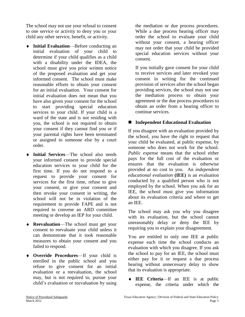The school may not use your refusal to consent to one service or activity to deny you or your child any other service, benefit, or activity.

- **Initial Evaluation**—Before conducting an initial evaluation of your child to determine if your child qualifies as a child with a disability under the IDEA, the school must give you prior written notice of the proposed evaluation and get your informed consent. The school must make reasonable efforts to obtain your consent for an initial evaluation. Your consent for initial evaluation does not mean that you have also given your consent for the school to start providing special education services to your child. If your child is a ward of the state and is not residing with you, the school is not required to obtain your consent if they cannot find you or if your parental rights have been terminated or assigned to someone else by a court order.
- **Initial Services**—The school also needs your informed consent to provide special education services to your child for the first time. If you do not respond to a request to provide your consent for services for the first time, refuse to give your consent, or give your consent and then revoke your consent in writing, the school will not be in violation of the requirement to provide FAPE and is not required to convene an ARD committee meeting or develop an IEP for your child.
- **Reevaluation**—The school must get your consent to reevaluate your child unless it can demonstrate that it took reasonable measures to obtain your consent and you failed to respond.
- **Override Procedures**—If your child is enrolled in the public school and you refuse to give consent for an initial evaluation or a reevaluation, the school may, but is not required to, pursue your child's evaluation or reevaluation by using

the mediation or due process procedures. While a due process hearing officer may order the school to evaluate your child without your consent, a hearing officer may not order that your child be provided special education services without your consent.

If you initially gave consent for your child to receive services and later revoked your consent in writing for the continued provision of services after the school began providing services, the school may not use the mediation process to obtain your agreement or the due process procedures to obtain an order from a hearing officer to continue services.

#### **Independent Educational Evaluation**

If you disagree with an evaluation provided by the school, you have the right to request that your child be evaluated, at public expense, by someone who does not work for the school. *Public expense* means that the school either pays for the full cost of the evaluation or ensures that the evaluation is otherwise provided at no cost to you.An *independent educational evaluation* **(IEE)** is an evaluation conducted by a qualified person who is not employed by the school. When you ask for an IEE, the school must give you information about its evaluation criteria and where to get an IEE.

The school may ask you why you disagree with its evaluation, but the school cannot unreasonably delay or deny the IEE by requiring you to explain your disagreement.

You are entitled to only one IEE at public expense each time the school conducts an evaluation with which you disagree. If you ask the school to pay for an IEE, the school must either pay for it or request a due process hearing without unnecessary delay to show that its evaluation is appropriate.

**IEE Criteria**—If an IEE is at public expense, the criteria under which the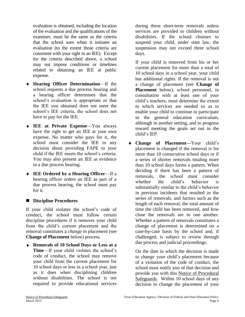evaluation is obtained, including the location of the evaluation and the qualifications of the examiner, must be the same as the criteria that the school uses when it initiates an evaluation (to the extent those criteria are consistent with your right to an IEE). Except for the criteria described above, a school may not impose conditions or timelines related to obtaining an IEE at public expense.

- **Hearing Officer Determination**—If the school requests a due process hearing and a hearing officer determines that the school's evaluation is appropriate or that the IEE you obtained does not meet the school's IEE criteria, the school does not have to pay for the IEE.
- **IEE at Private Expense**—You always have the right to get an IEE at your own expense. No matter who pays for it, the school must consider the IEE in any decision about providing FAPE to your child if the IEE meets the school's criteria. You may also present an IEE as evidence in a due process hearing.
- **IEE Ordered by a Hearing Officer**—If a hearing officer orders an IEE as part of a due process hearing, the school must pay for it.

#### **Discipline Procedures**

If your child violates the school's code of conduct, the school must follow certain discipline procedures if it removes your child from the child's current placement and the removal constitutes a *change in placement (*see **Change of Placement** below) process.

**Removals of 10 School Days or Less at a Time**—If your child violates the school's code of conduct, the school may remove your child from the current placement for 10 school days or less in a school year, just as it does when disciplining children without disabilities. The school is not required to provide educational services

during these short-term removals unless services are provided to children without disabilities. If the school chooses to suspend your child, under state law, the suspension may not exceed three school days.

If your child is removed from his or her current placement for more than a total of 10 school days in a school year, your child has additional rights. If the removal is not a change of placement *(*see **Change of Placement** below), school personnel, in consultation with at least one of your child's teachers, must determine the extent to which services are needed so as to enable your child to continue to participate in the general education curriculum, although in another setting, and to progress toward meeting the goals set out in the child's IEP.

**Change of Placement—**Your child's placement is changed if the removal is for more than 10 consecutive school days or if a series of shorter removals totaling more than 10 school days forms a pattern. When deciding if there has been a pattern of removals, the school must consider whether the child's behavior is substantially similar to the child's behavior in previous incidents that resulted in the series of removals, and factors such as the length of each removal, the total amount of time the child has been removed, and how close the removals are to one another. Whether a pattern of removals constitutes a change of placement is determined on a case-by-case basis by the school and, if challenged, is subject to review through due process and judicial proceedings.

On the date in which the decision is made to change your child's placement because of a violation of the code of conduct, the school must notify you of that decision and provide you with this Notice of Procedural Safeguards*.* Within 10 school days of any decision to change the placement of your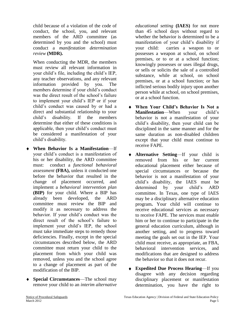child because of a violation of the code of conduct, the school, you, and relevant members of the ARD committee (as determined by you and the school) must conduct a *manifestation determination review* **(MDR).**

When conducting the MDR, the members must review all relevant information in your child's file, including the child's IEP, any teacher observations, and any relevant information provided by you. The members determine if your child's conduct was the direct result of the school's failure to implement your child's IEP or if your child's conduct was caused by or had a direct and substantial relationship to your child's disability. If the members determine that either of these conditions is applicable, then your child's conduct must be considered a manifestation of your child's disability.

- **When Behavior Is a Manifestation**—If your child's conduct is a manifestation of his or her disability, the ARD committee must: conduct a *functional behavioral assessment* **(FBA),** unless it conducted one before the behavior that resulted in the change of placement occurred, and implement a *behavioral intervention plan* **(BIP)** for your child. Where a BIP has already been developed, the ARD committee must review the BIP and modify it as necessary to address the behavior. If your child's conduct was the direct result of the school's failure to implement your child's IEP, the school must take immediate steps to remedy those deficiencies. Finally, except in the special circumstances described below, the ARD committee must return your child to the placement from which your child was removed, unless you and the school agree to a change of placement as part of the modification of the BIP.
- **Special Circumstances**—The school may remove your child to an *interim alternative*

*educational setting* **(IAES)** for not more than 45 school days without regard to whether the behavior is determined to be a manifestation of your child's disability if your child: carries a weapon to or possesses a weapon at school, on school premises, or to or at a school function; knowingly possesses or uses illegal drugs, or sells or solicits the sale of a controlled substance, while at school, on school premises, or at a school function; or has inflicted serious bodily injury upon another person while at school, on school premises, or at a school function.

- **When Your Child's Behavior Is Not a Manifestation**—When your child's behavior is not a manifestation of your child's disability, then your child can be disciplined in the same manner and for the same duration as non-disabled children except that your child must continue to receive FAPE.
- **Alternative Setting**—If your child is removed from his or her current educational placement either because of special circumstances or because the behavior is not a manifestation of your child's disability, the IAES must be determined by your child's ARD committee. In Texas, one type of IAES may be a disciplinary alternative education program**.** Your child will continue to receive educational services as necessary to receive FAPE. The services must enable him or her to continue to participate in the general education curriculum, although in another setting, and to progress toward meeting the goals set out in the IEP. Your child must receive, as appropriate, an FBA, behavioral intervention services, and modifications that are designed to address the behavior so that it does not recur.
- **Expedited Due Process Hearing**—If you disagree with any decision regarding disciplinary placement or manifestation determination, you have the right to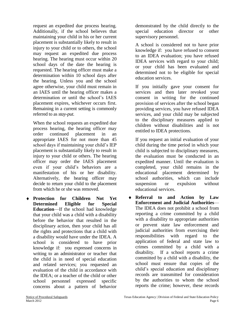request an expedited due process hearing. Additionally, if the school believes that maintaining your child in his or her current placement is substantially likely to result in injury to your child or to others, the school may request an expedited due process hearing. The hearing must occur within 20 school days of the date the hearing is requested. The hearing officer must make a determination within 10 school days after the hearing. Unless you and the school agree otherwise, your child must remain in an IAES until the hearing officer makes a determination or until the school's IAES placement expires, whichever occurs first. Remaining in a current setting is commonly referred to as *stay-put.* 

When the school requests an expedited due process hearing, the hearing officer may order continued placement in an appropriate IAES for not more than 45 school days if maintaining your child's IEP placement is substantially likely to result in injury to your child or others. The hearing officer may order the IAES placement even if your child's behaviors are a manifestation of his or her disability. Alternatively, the hearing officer may decide to return your child to the placement from which he or she was removed.

**Protection for Children Not Yet Determined Eligible for Special Education**—If the school had knowledge that your child was a child with a disability before the behavior that resulted in the disciplinary action, then your child has all the rights and protections that a child with a disability would have under the IDEA. A school is considered to have prior knowledge if: you expressed concerns in writing to an administrator or teacher that the child is in need of special education and related services; you requested an evaluation of the child in accordance with the IDEA; or a teacher of the child or other school personnel expressed specific concerns about a pattern of behavior

demonstrated by the child directly to the special education director or other supervisory personnel.

A school is considered not to have prior knowledge if: you have refused to consent to an IDEA evaluation; you have refused IDEA services with regard to your child; or your child has been evaluated and determined not to be eligible for special education services.

If you initially gave your consent for services and then later revoked your consent in writing for the continued provision of services after the school began providing services, you have refused IDEA services, and your child may be subjected to the disciplinary measures applied to children without disabilities and is not entitled to IDEA protections.

If you request an initial evaluation of your child during the time period in which your child is subjected to disciplinary measures, the evaluation must be conducted in an expedited manner. Until the evaluation is completed, your child remains in the educational placement determined by school authorities, which can include suspension or expulsion without educational services.

**Referral to and Action by Law Enforcement and Judicial Authorities**— The IDEA does not prohibit a school from reporting a crime committed by a child with a disability to appropriate authorities or prevent state law enforcement and judicial authorities from exercising their responsibilities with regard to the application of federal and state law to crimes committed by a child with a disability. If a school reports a crime committed by a child with a disability, the school must ensure that copies of the child's special education and disciplinary records are transmitted for consideration by the authorities to whom the school reports the crime; however, these records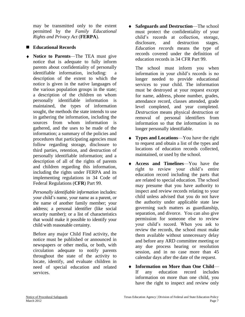may be transmitted only to the extent permitted by the *Family Educational Rights and Privacy Act* (**FERPA**).

#### **Educational Records**

**Notice to Parents**—The TEA must give notice that is adequate to fully inform parents about confidentiality of personally identifiable information, including: description of the extent to which the notice is given in the native languages of the various population groups in the state; a description of the children on whom personally identifiable information is maintained, the types of information sought, the methods the state intends to use in gathering the information, including the sources from whom information is gathered, and the uses to be made of the information; a summary of the policies and procedures that participating agencies must follow regarding storage, disclosure to third parties, retention, and destruction of personally identifiable information; and a description of all of the rights of parents and children regarding this information, including the rights under FERPA and its implementing regulations in 34 Code of Federal Regulations (**CFR**) Part 99.

*Personally identifiable information* includes: your child's name, your name as a parent, or the name of another family member; your address; a personal identifier (like social security number); or a list of characteristics that would make it possible to identify your child with reasonable certainty.

Before any major Child Find activity, the notice must be published or announced in newspapers or other media, or both, with circulation adequate to notify parents throughout the state of the activity to locate, identify, and evaluate children in need of special education and related services.

**Safeguards and Destruction**—The school  $\ddot{\bullet}$ must protect the confidentiality of your child's records at collection, storage, disclosure, and destruction stages. *Education records* means the type of records covered under the definition of education records in 34 CFR Part 99.

The school must inform you when information in your child's records is no longer needed to provide educational services to your child. The information must be destroyed at your request except for name, address, phone number, grades, attendance record, classes attended, grade level completed, and year completed. *Destruction* means physical destruction or removal of personal identifiers from information so that the information is no longer personally identifiable.

- $\bullet$ **Types and Locations**—You have the right to request and obtain a list of the types and locations of education records collected, maintained, or used by the school.
- **Access and Timelines**—You have the  $\blacktriangle$ right to review your child's entire education record including the parts that are related to special education. The school may presume that you have authority to inspect and review records relating to your child unless advised that you do not have the authority under applicable state law governing such matters as guardianship, separation, and divorce. You can also give permission for someone else to review your child's record. When you ask to review the records, the school must make them available without unnecessary delay and before any ARD committee meeting or any due process hearing or resolution session, and in no case more than 45 calendar days after the date of the request.
- **Information on More than One Child** If any education record includes information on more than one child, you have the right to inspect and review only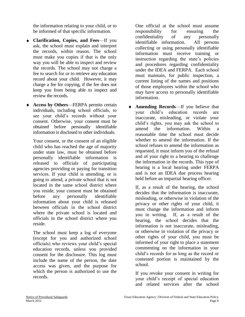the information relating to your child, or to be informed of that specific information.

- **Clarification, Copies, and Fees**—If you ask, the school must explain and interpret the records, within reason. The school must make you copies if that is the only way you will be able to inspect and review the records. The school may not charge a fee to search for or to retrieve any education record about your child. However, it may charge a fee for copying, if the fee does not keep you from being able to inspect and review the records.
- **Access by Others**—FERPA permits certain individuals, including school officials, to see your child's records without your consent. Otherwise, your consent must be obtained before personally identifiable information is disclosed to other individuals.

Your consent, or the consent of an eligible child who has reached the age of majority under state law, must be obtained before personally identifiable information is released to officials of participating agencies providing or paying for transition services. If your child is attending, or is going to attend, a private school that is not located in the same school district where you reside, your consent must be obtained before any personally identifiable information about your child is released between officials in the school district where the private school is located and officials in the school district where you reside.

The school must keep a log of everyone (except for you and authorized school officials) who reviews your child's special education records, unless you provided consent for the disclosure. This log must include the name of the person, the date access was given, and the purpose for which the person is authorized to use the records.

One official at the school must assume responsibility for ensuring the confidentiality of any personally identifiable information. All persons collecting or using personally identifiable information must receive training or instruction regarding the state's policies and procedures regarding confidentiality under the IDEA and FERPA. Each school must maintain, for public inspection, a current listing of the names and positions of those employees within the school who may have access to personally identifiable information.

 $\bullet$ **Amending Records**—If you believe that your child's education records are inaccurate, misleading, or violate your child's rights, you may ask the school to amend the information. Within a reasonable time the school must decide whether to amend the information. If the school refuses to amend the information as requested, it must inform you of the refusal and of your right to a hearing to challenge the information in the records. This type of hearing is a local hearing under FERPA and is not an IDEA due process hearing held before an impartial hearing officer.

If, as a result of the hearing, the school decides that the information is inaccurate, misleading, or otherwise in violation of the privacy or other rights of your child, it must change the information and inform you in writing. If, as a result of the hearing, the school decides that the information is not inaccurate, misleading, or otherwise in violation of the privacy or other rights of your child, you must be informed of your right to place a statement commenting on the information in your child's records for as long as the record or contested portion is maintained by the school.

If you revoke your consent in writing for your child's receipt of special education and related services after the school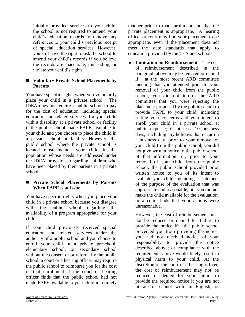initially provided services to your child, the school is not required to amend your child's education records to remove any references to your child's previous receipt of special education services. However, you still have the right to ask the school to amend your child's records if you believe the records are inaccurate, misleading, or violate your child's rights.

#### **Voluntary Private School Placements by Parents**

You have specific rights when you voluntarily place your child in a private school. The IDEA does not require a public school to pay for the cost of education, including special education and related services, for your child with a disability at a private school or facility if the public school made FAPE available to your child and you choose to place the child in a private school or facility. However, the public school where the private school is located must include your child in the population whose needs are addressed under the IDEA provisions regarding children who have been placed by their parents in a private school.

#### **Private School Placements by Parents When FAPE is at Issue**

You have specific rights when you place your child in a private school because you disagree with the public school regarding the availability of a program appropriate for your child.

If your child previously received special education and related services under the authority of a public school and you choose to enroll your child in a private preschool, elementary school, or secondary school without the consent of or referral by the public school, a court or a hearing officer may require the public school to reimburse you for the cost of that enrollment if the court or hearing officer finds that the public school had not made FAPE available to your child in a timely

manner prior to that enrollment and that the private placement is appropriate. A hearing officer or court may find your placement to be appropriate, even if the placement does not meet the state standards that apply to education provided by the TEA and schools.

 $\bullet$ **Limitation on Reimbursement**—The cost of reimbursement described in the paragraph above may be reduced or denied if: at the most recent ARD committee meeting that you attended prior to your removal of your child from the public school, you did not inform the ARD committee that you were rejecting the placement proposed by the public school to provide FAPE to your child, including stating your concerns and your intent to enroll your child in a private school at public expense; or at least 10 business days, including any holidays that occur on a business day, prior to your removal of your child from the public school, you did not give written notice to the public school of that information; or, prior to your removal of your child from the public school, the public school provided prior written notice to you of its intent to evaluate your child, including a statement of the purpose of the evaluation that was appropriate and reasonable, but you did not make the child available for the evaluation; or a court finds that your actions were unreasonable.

However, the cost of reimbursement must not be reduced or denied for failure to provide the notice if: the public school prevented you from providing the notice; you had not received notice of your responsibility to provide the notice described above; or compliance with the requirements above would likely result in physical harm to your child. At the discretion of the court or a hearing officer, the cost of reimbursement may not be reduced or denied for your failure to provide the required notice if you are not literate or cannot write in English; or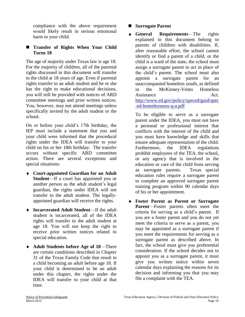compliance with the above requirement would likely result in serious emotional harm to your child.

#### **Transfer of Rights When Your Child Turns 18**

The age of majority under Texas law is age 18. For the majority of children, all of the parental rights discussed in this document will transfer to the child at 18 years of age. Even if parental rights transfer to an adult student and he or she has the right to make educational decisions, you will still be provided with notices of ARD committee meetings and prior written notices. You, however, may not attend meetings unless specifically invited by the adult student or the school.

On or before your child's 17th birthday, the IEP must include a statement that you and your child were informed that the procedural rights under the IDEA will transfer to your child on his or her 18th birthday. The transfer occurs without specific ARD committee action. There are several exceptions and special situations:

- **Court-appointed Guardian for an Adult Student**—If a court has appointed you or another person as the adult student's legal guardian, the rights under IDEA will not transfer to the adult student. The legallyappointed guardian will receive the rights.
- **Incarcerated Adult Student**—If the adult student is incarcerated, all of the IDEA rights will transfer to the adult student at age 18. You will not keep the right to receive prior written notices related to special education.
- **Adult Students before Age of 18**—There are certain conditions described in Chapter 31 of the Texas Family Code that result in a child becoming an adult before age 18. If your child is determined to be an adult under this chapter, the rights under the IDEA will transfer to your child at that time.

#### **Surrogate Parent**

**General Requirements**—The rights explained in this document belong to parents of children with disabilities. If, after reasonable effort, the school cannot identify or find a parent of a child, or the child is a ward of the state, the school must assign a surrogate parent to act in place of the child's parent. The school must also appoint a surrogate parent for an unaccompanied homeless youth, as defined in the McKinney-Vento Homeless Assistance Act. [http://www.ed.gov/policy/speced/guid/spec](http://www.ed.gov/policy/speced/guid/spec-ed-homelessness-q-a.pdf) [-ed-homelessness-q-a.pdf](http://www.ed.gov/policy/speced/guid/spec-ed-homelessness-q-a.pdf)

To be eligible to serve as a surrogate parent under the IDEA, you must not have a personal or professional interest that conflicts with the interest of the child and you must have knowledge and skills that ensure adequate representation of the child. Furthermore, the IDEA regulations prohibit employees of the TEA, the school, or any agency that is involved in the education or care of the child from serving as surrogate parents. Texas special education rules require a surrogate parent to complete an approved surrogate parent training program within 90 calendar days of his or her appointment.

**Foster Parent as Parent or Surrogate Parent**—Foster parents often meet the criteria for serving as a child's parent. If you are a foster parent and you do not yet meet the criteria to serve as a parent, you may be appointed as a surrogate parent if you meet the requirements for serving as a surrogate parent as described above. In fact, the school must give you preferential consideration. If the school decides not to appoint you as a surrogate parent, it must give you written notice within seven calendar days explaining the reasons for its decision and informing you that you may file a complaint with the TEA.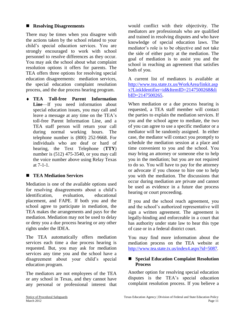#### **Resolving Disagreements**

There may be times when you disagree with the actions taken by the school related to your child's special education services. You are strongly encouraged to work with school personnel to resolve differences as they occur. You may ask the school about what complaint resolution options it offers for parents. The TEA offers three options for resolving special education disagreements: mediation services, the special education complaint resolution process, and the due process hearing program.

**TEA Toll-free Parent Information**  Line—If you need information about special education issues, you may call and leave a message at any time on the TEA's toll-free Parent Information Line, and a TEA staff person will return your call during normal working hours. The telephone number is (800) 252-9668. For individuals who are deaf or hard of hearing, the Text Telephone (**TTY**) number is (512) 475-3540, or you may call the voice number above using Relay Texas at 7-1-1.

#### **TEA Mediation Services**

Mediation is one of the available options used for resolving disagreements about a child's identification, evaluation, educational placement, and FAPE. If both you and the school agree to participate in mediation, the TEA makes the arrangements and pays for the mediation. Mediation may not be used to delay or deny you a due process hearing or any other rights under the IDEA.

The TEA automatically offers mediation services each time a due process hearing is requested. But, you may ask for mediation services any time you and the school have a disagreement about your child's special education program.

The mediators are not employees of the TEA or any school in Texas, and they cannot have any personal or professional interest that

would conflict with their objectivity. The mediators are professionals who are qualified and trained in resolving disputes and who have knowledge of special education laws. The mediator's role is to be objective and not take the side of either party at the mediation. The goal of mediation is to assist you and the school in reaching an agreement that satisfies both of you.

A current list of mediators is available at [http://www.tea.state.tx.us/WorkArea/linkit.asp](http://www.tea.state.tx.us/WorkArea/linkit.aspx?LinkIdentifier=id&ItemID=2147500268&libID=2147500265) [x?LinkIdentifier=id&ItemID=2147500268&li](http://www.tea.state.tx.us/WorkArea/linkit.aspx?LinkIdentifier=id&ItemID=2147500268&libID=2147500265) [bID=2147500265.](http://www.tea.state.tx.us/WorkArea/linkit.aspx?LinkIdentifier=id&ItemID=2147500268&libID=2147500265)

When mediation or a due process hearing is requested, a TEA staff member will contact the parties to explain the mediation services. If you and the school agree to mediate, the two of you can agree to use a specific mediator or a mediator will be randomly assigned. In either case, the mediator will contact you promptly to schedule the mediation session at a place and time convenient to you and the school. You may bring an attorney or someone else to help you in the mediation; but you are not required to do so. You will have to pay for the attorney or advocate if you choose to hire one to help you with the mediation. The discussions that occur during mediation are private and cannot be used as evidence in a future due process hearing or court proceeding.

If you and the school reach agreement, you and the school's authorized representative will sign a written agreement. The agreement is legally-binding and enforceable in a court that has authority under state law to hear this type of case or in a federal district court.

You may find more information about the mediation process on the TEA website at [http://www.tea.state.tx.us/index4.aspx?id=5087.](http://www.tea.state.tx.us/index4.aspx?id=5087)

#### ■ Special Education Complaint Resolution **Process**

Another option for resolving special education disputes is the TEA's special education complaint resolution process. If you believe a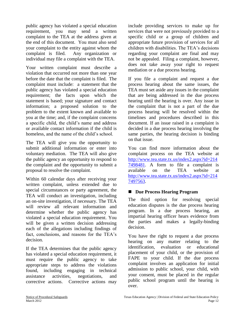public agency has violated a special education requirement, you may send a written complaint to the TEA at the address given at the end of this document. You must also send your complaint to the entity against whom the complaint is filed. Any organization or individual may file a complaint with the TEA.

Your written complaint must describe a violation that occurred not more than one year before the date that the complaint is filed. The complaint must include: a statement that the public agency has violated a special education requirement; the facts upon which the statement is based; your signature and contact information; a proposed solution to the problem to the extent known and available to you at the time; and, if the complaint concerns a specific child, the child's name and address or available contact information if the child is homeless, and the name of the child's school.

The TEA will give you the opportunity to submit additional information or enter into voluntary mediation. The TEA will also give the public agency an opportunity to respond to the complaint and the opportunity to submit a proposal to resolve the complaint.

Within 60 calendar days after receiving your written complaint, unless extended due to special circumstances or party agreement, the TEA will conduct an investigation, including an on-site investigation, if necessary. The TEA will review all relevant information and determine whether the public agency has violated a special education requirement. You will be given a written decision addressing each of the allegations including findings of fact, conclusions, and reasons for the TEA's decision.

If the TEA determines that the public agency has violated a special education requirement, it must require the public agency to take appropriate steps to address the violations found, including engaging in technical assistance activities, negotiations, and corrective actions. Corrective actions may

include providing services to make up for services that were not previously provided to a specific child or a group of children and appropriate future provision of services for all children with disabilities. The TEA's decisions regarding your complaint are final and may not be appealed. Filing a complaint, however, does not take away your right to request mediation or a due process hearing.

If you file a complaint and request a due process hearing about the same issues, the TEA must set aside any issues in the complaint that are being addressed in the due process hearing until the hearing is over. Any issue in the complaint that is not a part of the due process hearing will be resolved within the timelines and procedures described in this document. If an issue raised in a complaint is decided in a due process hearing involving the same parties, the hearing decision is binding on that issue.

You can find more information about the complaint process on the TEA website at [http://www.tea.state.tx.us/index2.aspx?id=214](http://www.tea.state.tx.us/index2.aspx?id=2147498481) [7498481.](http://www.tea.state.tx.us/index2.aspx?id=2147498481) A form to file a complaint is available on the TEA website at [http://www.tea.state.tx.us/index2.aspx?id=214](http://www.tea.state.tx.us/index2.aspx?id=2147497563) [7497563.](http://www.tea.state.tx.us/index2.aspx?id=2147497563)

#### **Due Process Hearing Program**

The third option for resolving special education disputes is the due process hearing program. In a due process hearing, an impartial hearing officer hears evidence from the parties and makes a legally-binding decision.

You have the right to request a due process hearing on any matter relating to the identification, evaluation or educational placement of your child, or the provision of FAPE to your child. If the due process complaint involves an application for initial admission to public school, your child, with your consent, must be placed in the regular public school program until the hearing is over.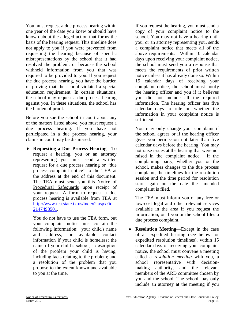You must request a due process hearing within one year of the date you knew or should have known about the alleged action that forms the basis of the hearing request. This timeline does not apply to you if you were prevented from requesting the hearing because of specific misrepresentations by the school that it had resolved the problem, or because the school withheld information from you that was required to be provided to you. If you request the due process hearing, you have the burden of proving that the school violated a special education requirement. In certain situations, the school may request a due process hearing against you. In these situations, the school has the burden of proof.

Before you sue the school in court about any of the matters listed above, you must request a due process hearing. If you have not participated in a due process hearing, your claims in court may be dismissed.

**Requesting a Due Process Hearing**—To request a hearing, you or an attorney representing you must send a written request for a due process hearing or "due process complaint notice" to the TEA at the address at the end of this document. The TEA must send you this Notice of Procedural Safeguards upon receipt of your request. A form to request a due process hearing is available from TEA at [http://www.tea.state.tx.us/index2.aspx?id=](http://www.tea.state.tx.us/index2.aspx?id=2147498501) [2147498501.](http://www.tea.state.tx.us/index2.aspx?id=2147498501)

You do not have to use the TEA form, but your complaint notice must contain the following information: your child's name and address, or available contact information if your child is homeless; the name of your child's school; a description of the problem your child is having, including facts relating to the problem; and a resolution of the problem that you propose to the extent known and available to you at the time.

If you request the hearing, you must send a copy of your complaint notice to the school. You may not have a hearing until you, or an attorney representing you, sends a complaint notice that meets all of the above requirements. Within 10 calendar days upon receiving your complaint notice, the school must send you a response that meets the requirements of prior written notice unless it has already done so. Within 15 calendar days of receiving your complaint notice, the school must notify the hearing officer and you if it believes you did not include all the required information. The hearing officer has five calendar days to rule on whether the information in your complaint notice is sufficient.

You may only change your complaint if the school agrees or if the hearing officer gives you permission not later than five calendar days before the hearing. You may not raise issues at the hearing that were not raised in the complaint notice. If the complaining party, whether you or the school, makes changes to the due process complaint, the timelines for the resolution session and the time period for resolution start again on the date the amended complaint is filed.

The TEA must inform you of any free or low-cost legal and other relevant services available in the area if you request the information, or if you or the school files a due process complaint.

**Resolution Meeting**—Except in the case of an expedited hearing (see below for expedited resolution timelines), within 15 calendar days of receiving your complaint notice, the school must convene a meeting called a *resolution meeting* with you, a school representative with decisionmaking authority, and the relevant members of the ARD committee chosen by you and the school. The school may only include an attorney at the meeting if you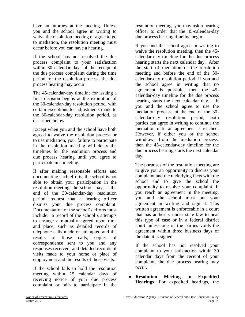have an attorney at the meeting. Unless you and the school agree in writing to waive the resolution meeting or agree to go to mediation, the resolution meeting must occur before you can have a hearing.

If the school has not resolved the due process complaint to your satisfaction within 30 calendar days of the receipt of the due process complaint during the time period for the resolution process, the due process hearing may occur.

The 45-calendar-day timeline for issuing a final decision begins at the expiration of the 30-calendar-day resolution period, with certain exceptions for adjustments made to the 30-calendar-day resolution period, as described below.

Except when you and the school have both agreed to waive the resolution process or to use mediation, your failure to participate in the resolution meeting will delay the timelines for the resolution process and due process hearing until you agree to participate in a meeting.

If after making reasonable efforts and documenting such efforts, the school is not able to obtain your participation in the resolution meeting, the school may, at the end of the 30-calendar-day resolution period, request that a hearing officer dismiss your due process complaint. Documentation of the school's efforts must include: a record of the school's attempts to arrange a mutually agreed upon time and place, such as detailed records of telephone calls made or attempted and the results of those calls; copies of correspondence sent to you and any responses received; and detailed records of visits made to your home or place of employment and the results of those visits.

If the school fails to hold the resolution meeting within 15 calendar days of receiving notice of your due process complaint or fails to participate in the resolution meeting, you may ask a hearing officer to order that the 45-calendar-day due process hearing timeline begin.

If you and the school agree in writing to waive the resolution meeting, then the 45 calendar-day timeline for the due process hearing starts the next calendar day. After the start of mediation or the resolution meeting and before the end of the 30 calendar-day resolution period, if you and the school agree in writing that no agreement is possible, then the 45 calendar-day timeline for the due process hearing starts the next calendar day. If you and the school agree to use the mediation process, at the end of the 30 calendar-day resolution period, both parties can agree in writing to continue the mediation until an agreement is reached. However, if either you or the school withdraws from the mediation process, then the 45-calendar-day timeline for the due process hearing starts the next calendar day.

The purposes of the resolution meeting are to give you an opportunity to discuss your complaint and the underlying facts with the school and to give the school the opportunity to resolve your complaint. If you reach an agreement in the meeting, you and the school must put your agreement in writing and sign it. This written agreement is enforceable in a court that has authority under state law to hear this type of case or in a federal district court unless one of the parties voids the agreement within three business days of the date it is signed.

If the school has not resolved your complaint to your satisfaction within 30 calendar days from the receipt of your complaint, the due process hearing may occur.

**Resolution Meeting in Expedited Hearings**—For expedited hearings, the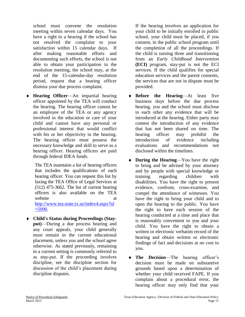school must convene the resolution meeting within seven calendar days. You have a right to a hearing if the school has not resolved the complaint to your satisfaction within 15 calendar days. If after making reasonable efforts and documenting such efforts, the school is not able to obtain your participation in the resolution meeting, the school may, at the end of the 15-calendar-day resolution period, request that a hearing officer dismiss your due process complaint.

**Hearing Officer**—An impartial hearing officer appointed by the TEA will conduct the hearing. The hearing officer cannot be an employee of the TEA or any agency involved in the education or care of your child and cannot have any personal or professional interest that would conflict with his or her objectivity in the hearing. The hearing officer must possess the necessary knowledge and skill to serve as a hearing officer. Hearing officers are paid through federal IDEA funds.

The TEA maintains a list of hearing officers that includes the qualifications of each hearing officer. You can request this list by faxing the TEA Office of Legal Services at (512) 475-3662. The list of current hearing officers is also available on the TEA website at a state at a state at  $\alpha$ [http://www.tea.state.tx.us/index4.aspx?id](http://www.tea.state.tx.us/index4.aspx?id=5090)  $=$  5090.

**Child's Status during Proceedings (Stayput)**—During a due process hearing and any court appeals, your child generally must remain in the current educational placement, unless you and the school agree otherwise. As stated previously, remaining in a current setting is commonly referred to as *stay-put*. If the proceeding involves discipline, see the discipline section for discussion of the child's placement during discipline disputes.

If the hearing involves an application for your child to be initially enrolled in public school, your child must be placed, if you consent, in the public school program until the completion of all the proceedings. If the child is turning three and transitioning from an *Early Childhood Intervention*  **(ECI)** program, stay-put is not the ECI services. If the child qualifies for special education services and the parent consents, the services that are not in dispute must be provided.

- **Before the Hearing**—At least five business days before the due process hearing, you and the school must disclose to each other any evidence that will be introduced at the hearing. Either party may contest the introduction of any evidence that has not been shared on time. The hearing officer may prohibit the introduction of evidence including evaluations and recommendations not disclosed within the timelines.
- **During the Hearing**—You have the right to bring and be advised by your attorney and by people with special knowledge or training regarding children with disabilities. You have the right to present evidence, confront, cross-examine, and compel the attendance of witnesses. You have the right to bring your child and to open the hearing to the public. You have the right to have each session of the hearing conducted at a time and place that is reasonably convenient to you and your child. You have the right to obtain a written or electronic verbatim record of the hearing and obtain written or electronic findings of fact and decisions at no cost to you.
- **The Decision**—The hearing officer's  $\bullet$ decision must be made on substantive grounds based upon a determination of whether your child received FAPE. If you complain about a procedural error, the hearing officer may only find that your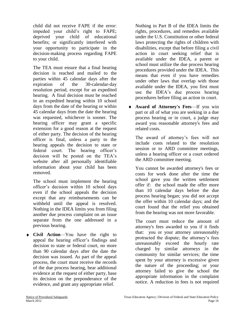child did not receive FAPE if the error: impeded your child's right to FAPE; deprived your child of educational benefits; or significantly interfered with your opportunity to participate in the decision-making process regarding FAPE to your child.

The TEA must ensure that a final hearing decision is reached and mailed to the parties within 45 calendar days after the expiration of the 30-calendar-day resolution period, except for an expedited hearing. A final decision must be reached in an expedited hearing within 10 school days from the date of the hearing or within 45 calendar days from the date the hearing was requested, whichever is sooner. The hearing officer may grant a specific extension for a good reason at the request of either party. The decision of the hearing officer is final, unless a party to the hearing appeals the decision to state or federal court. The hearing officer's decision will be posted on the TEA's website after all personally identifiable information about your child has been removed.

The school must implement the hearing officer's decision within 10 school days even if the school appeals the decision except that any reimbursements can be withheld until the appeal is resolved. Nothing in the IDEA limits you from filing another due process complaint on an issue separate from the one addressed in a previous hearing.

**Civil Action**—You have the right to appeal the hearing officer's findings and decision to state or federal court, no more than 90 calendar days after the date the decision was issued. As part of the appeal process, the court must receive the records of the due process hearing, hear additional evidence at the request of either party, base its decision on the preponderance of the evidence, and grant any appropriate relief.

Nothing in Part B of the IDEA limits the rights, procedures, and remedies available under the U.S. Constitution or other federal laws protecting the rights of children with disabilities, except that before filing a civil action in court seeking relief that is available under the IDEA, a parent or school must utilize the due process hearing procedures provided under the IDEA. This means that even if you have remedies under other laws that overlap with those available under the IDEA, you first must use the IDEA's due process hearing procedures before filing an action in court.

 $\bullet$ **Award of Attorney's Fees**—If you win part or all of what you are seeking in a due process hearing or in court, a judge may award you reasonable attorney's fees and related costs.

The award of attorney's fees will not include costs related to the resolution session or to ARD committee meetings, unless a hearing officer or a court ordered the ARD committee meeting.

You cannot be awarded attorney's fees or costs for work done after the time the school gave you the written settlement offer if: the school made the offer more than 10 calendar days before the due process hearing began; you did not accept the offer within 10 calendar days; and the court found that the relief you obtained from the hearing was not more favorable.

The court must reduce the amount of attorney's fees awarded to you if it finds that: you or your attorney unreasonably protracted the dispute; the attorney's fees unreasonably exceed the hourly rate charged by similar attorneys in the community for similar services; the time spent by your attorney is excessive given the nature of the proceeding; or your attorney failed to give the school the appropriate information in the complaint notice. A reduction in fees is not required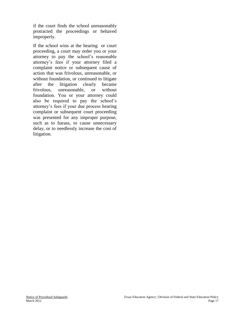if the court finds the school unreasonably protracted the proceedings or behaved improperly.

If the school wins at the hearing or court proceeding, a court may order you or your attorney to pay the school's reasonable attorney's fees if your attorney filed a complaint notice or subsequent cause of action that was frivolous, unreasonable, or without foundation, or continued to litigate after the litigation clearly became frivolous, unreasonable, or without foundation. You or your attorney could also be required to pay the school's attorney's fees if your due process hearing complaint or subsequent court proceeding was presented for any improper purpose, such as to harass, to cause unnecessary delay, or to needlessly increase the cost of litigation.